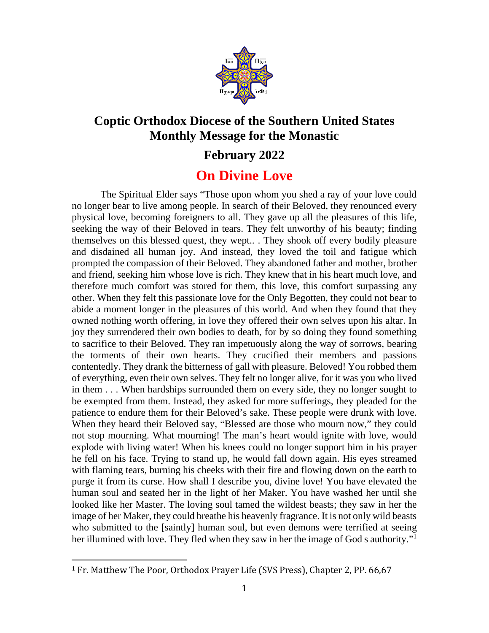

## **Coptic Orthodox Diocese of the Southern United States Monthly Message for the Monastic**

## **February 2022**

## **On Divine Love**

The Spiritual Elder says "Those upon whom you shed a ray of your love could no longer bear to live among people. In search of their Beloved, they renounced every physical love, becoming foreigners to all. They gave up all the pleasures of this life, seeking the way of their Beloved in tears. They felt unworthy of his beauty; finding themselves on this blessed quest, they wept.. . They shook off every bodily pleasure and disdained all human joy. And instead, they loved the toil and fatigue which prompted the compassion of their Beloved. They abandoned father and mother, brother and friend, seeking him whose love is rich. They knew that in his heart much love, and therefore much comfort was stored for them, this love, this comfort surpassing any other. When they felt this passionate love for the Only Begotten, they could not bear to abide a moment longer in the pleasures of this world. And when they found that they owned nothing worth offering, in love they offered their own selves upon his altar. In joy they surrendered their own bodies to death, for by so doing they found something to sacrifice to their Beloved. They ran impetuously along the way of sorrows, bearing the torments of their own hearts. They crucified their members and passions contentedly. They drank the bitterness of gall with pleasure. Beloved! You robbed them of everything, even their own selves. They felt no longer alive, for it was you who lived in them . . . When hardships surrounded them on every side, they no longer sought to be exempted from them. Instead, they asked for more sufferings, they pleaded for the patience to endure them for their Beloved's sake. These people were drunk with love. When they heard their Beloved say, "Blessed are those who mourn now," they could not stop mourning. What mourning! The man's heart would ignite with love, would explode with living water! When his knees could no longer support him in his prayer he fell on his face. Trying to stand up, he would fall down again. His eyes streamed with flaming tears, burning his cheeks with their fire and flowing down on the earth to purge it from its curse. How shall I describe you, divine love! You have elevated the human soul and seated her in the light of her Maker. You have washed her until she looked like her Master. The loving soul tamed the wildest beasts; they saw in her the image of her Maker, they could breathe his heavenly fragrance. It is not only wild beasts who submitted to the [saintly] human soul, but even demons were terrified at seeing her illumined with love. They fled when they saw in her the image of God s authority."<sup>[1](#page-0-0)</sup>

<span id="page-0-0"></span><sup>1</sup> Fr. Matthew The Poor, Orthodox Prayer Life (SVS Press), Chapter 2, PP. 66,67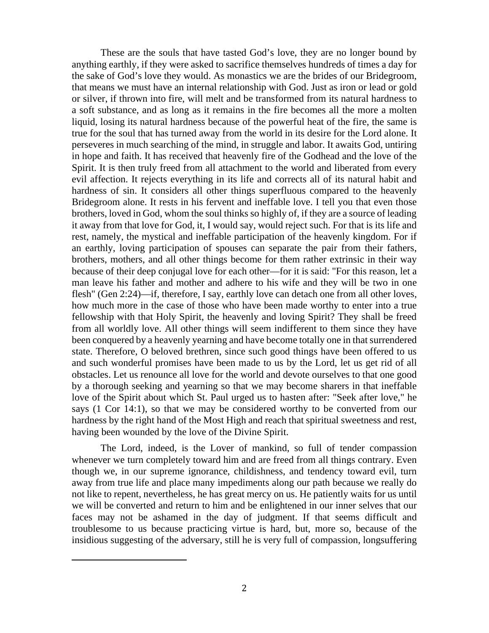These are the souls that have tasted God's love, they are no longer bound by anything earthly, if they were asked to sacrifice themselves hundreds of times a day for the sake of God's love they would. As monastics we are the brides of our Bridegroom, that means we must have an internal relationship with God. Just as iron or lead or gold or silver, if thrown into fire, will melt and be transformed from its natural hardness to a soft substance, and as long as it remains in the fire becomes all the more a molten liquid, losing its natural hardness because of the powerful heat of the fire, the same is true for the soul that has turned away from the world in its desire for the Lord alone. It perseveres in much searching of the mind, in struggle and labor. It awaits God, untiring in hope and faith. It has received that heavenly fire of the Godhead and the love of the Spirit. It is then truly freed from all attachment to the world and liberated from every evil affection. It rejects everything in its life and corrects all of its natural habit and hardness of sin. It considers all other things superfluous compared to the heavenly Bridegroom alone. It rests in his fervent and ineffable love. I tell you that even those brothers, loved in God, whom the soul thinks so highly of, if they are a source of leading it away from that love for God, it, I would say, would reject such. For that is its life and rest, namely, the mystical and ineffable participation of the heavenly kingdom. For if an earthly, loving participation of spouses can separate the pair from their fathers, brothers, mothers, and all other things become for them rather extrinsic in their way because of their deep conjugal love for each other—for it is said: "For this reason, let a man leave his father and mother and adhere to his wife and they will be two in one flesh" (Gen 2:24)—if, therefore, I say, earthly love can detach one from all other loves, how much more in the case of those who have been made worthy to enter into a true fellowship with that Holy Spirit, the heavenly and loving Spirit? They shall be freed from all worldly love. All other things will seem indifferent to them since they have been conquered by a heavenly yearning and have become totally one in that surrendered state. Therefore, O beloved brethren, since such good things have been offered to us and such wonderful promises have been made to us by the Lord, let us get rid of all obstacles. Let us renounce all love for the world and devote ourselves to that one good by a thorough seeking and yearning so that we may become sharers in that ineffable love of the Spirit about which St. Paul urged us to hasten after: "Seek after love," he says (1 Cor 14:1), so that we may be considered worthy to be converted from our hardness by the right hand of the Most High and reach that spiritual sweetness and rest, having been wounded by the love of the Divine Spirit.

The Lord, indeed, is the Lover of mankind, so full of tender compassion whenever we turn completely toward him and are freed from all things contrary. Even though we, in our supreme ignorance, childishness, and tendency toward evil, turn away from true life and place many impediments along our path because we really do not like to repent, nevertheless, he has great mercy on us. He patiently waits for us until we will be converted and return to him and be enlightened in our inner selves that our faces may not be ashamed in the day of judgment. If that seems difficult and troublesome to us because practicing virtue is hard, but, more so, because of the insidious suggesting of the adversary, still he is very full of compassion, longsuffering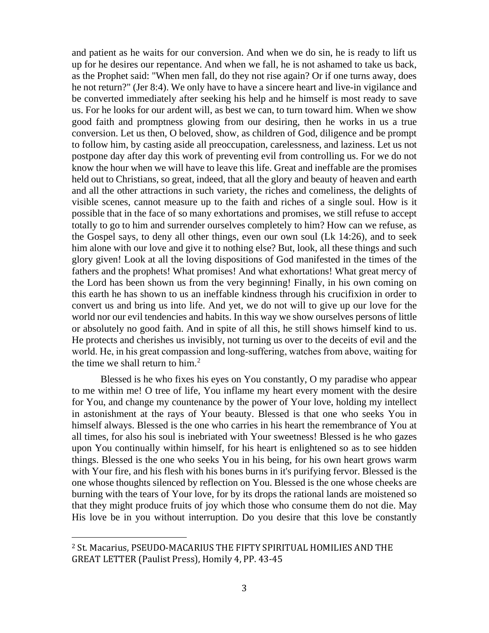and patient as he waits for our conversion. And when we do sin, he is ready to lift us up for he desires our repentance. And when we fall, he is not ashamed to take us back, as the Prophet said: "When men fall, do they not rise again? Or if one turns away, does he not return?" (Jer 8:4). We only have to have a sincere heart and live-in vigilance and be converted immediately after seeking his help and he himself is most ready to save us. For he looks for our ardent will, as best we can, to turn toward him. When we show good faith and promptness glowing from our desiring, then he works in us a true conversion. Let us then, O beloved, show, as children of God, diligence and be prompt to follow him, by casting aside all preoccupation, carelessness, and laziness. Let us not postpone day after day this work of preventing evil from controlling us. For we do not know the hour when we will have to leave this life. Great and ineffable are the promises held out to Christians, so great, indeed, that all the glory and beauty of heaven and earth and all the other attractions in such variety, the riches and comeliness, the delights of visible scenes, cannot measure up to the faith and riches of a single soul. How is it possible that in the face of so many exhortations and promises, we still refuse to accept totally to go to him and surrender ourselves completely to him? How can we refuse, as the Gospel says, to deny all other things, even our own soul (Lk 14:26), and to seek him alone with our love and give it to nothing else? But, look, all these things and such glory given! Look at all the loving dispositions of God manifested in the times of the fathers and the prophets! What promises! And what exhortations! What great mercy of the Lord has been shown us from the very beginning! Finally, in his own coming on this earth he has shown to us an ineffable kindness through his crucifixion in order to convert us and bring us into life. And yet, we do not will to give up our love for the world nor our evil tendencies and habits. In this way we show ourselves persons of little or absolutely no good faith. And in spite of all this, he still shows himself kind to us. He protects and cherishes us invisibly, not turning us over to the deceits of evil and the world. He, in his great compassion and long-suffering, watches from above, waiting for the time we shall return to him.<sup>[2](#page-2-0)</sup>

Blessed is he who fixes his eyes on You constantly, O my paradise who appear to me within me! O tree of life, You inflame my heart every moment with the desire for You, and change my countenance by the power of Your love, holding my intellect in astonishment at the rays of Your beauty. Blessed is that one who seeks You in himself always. Blessed is the one who carries in his heart the remembrance of You at all times, for also his soul is inebriated with Your sweetness! Blessed is he who gazes upon You continually within himself, for his heart is enlightened so as to see hidden things. Blessed is the one who seeks You in his being, for his own heart grows warm with Your fire, and his flesh with his bones burns in it's purifying fervor. Blessed is the one whose thoughts silenced by reflection on You. Blessed is the one whose cheeks are burning with the tears of Your love, for by its drops the rational lands are moistened so that they might produce fruits of joy which those who consume them do not die. May His love be in you without interruption. Do you desire that this love be constantly

<span id="page-2-0"></span><sup>2</sup> St. Macarius, PSEUDO-MACARIUS THE FIFTY SPIRITUAL HOMILIES AND THE GREAT LETTER (Paulist Press), Homily 4, PP. 43-45